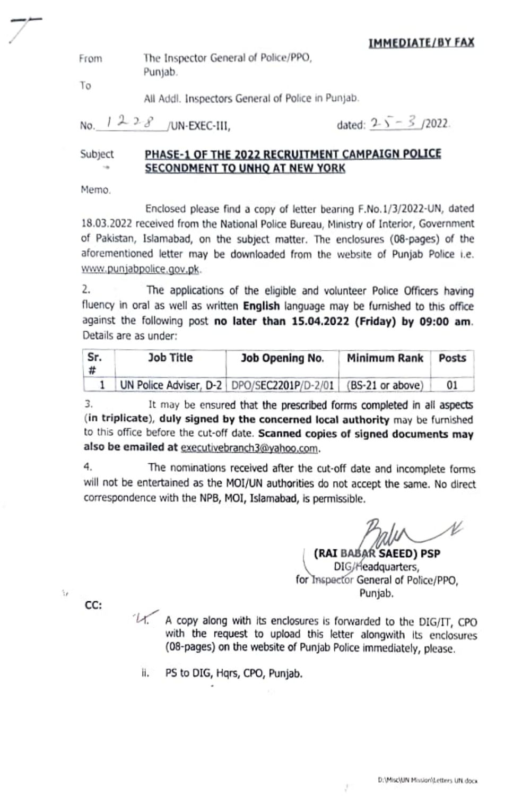The Inspector General of Police/PPo, Punjab. From

Tο

All Addl. Inspectors General of Police in Punjab.

No.  $1228$  /UN-EXEC-III, dated:  $25 - 3/2022$ .

### PHASE-1OF THE 2022 RECRUITMENT CAMPAIGN POLICE SECONDMENT TO UNHQ AT NEW YORK Subject

Memo.

Enclosed please find a copy of letter bearing F.No.1/3/2022-UN, dated 18.05.2022 recelved from the National Police Bureau, Ministry of Interior, Government of Pakistan, Istamabad, on the subject matter. The enclosures (08-pages) of the aforementioned letter may be downloaded from the website of Punjab Police i.e. www.punjabpolice.gov.pk.

. The applications of the eligible and volunteer Police Officers having fluency in oral as well as written **English** language may be furnished to this office against the tollowing post no later than 15.04.2022 (Friday) by 09:00 am. Details are as under

| Sr.<br> # | Job Title | Job Opening No.                              | Minimum Rank     | Posts |
|-----------|-----------|----------------------------------------------|------------------|-------|
|           |           | UN Police Adviser, D-2   DPO/SEC2201P/D-2/01 | (BS-21 or above) | 01    |

3. It may be ensured that the prescribed forms completed in all aspects (in triplicate), duly signed by the concerned local authority may be furnished to this office before the cut-off date. Scanned copies of signed documents may also be emailed at executivebranch3@yahoo.com.

4. The nominations received after the cut-off date and incomplete forms will not be entertained as the MOl/UN authorities do not accept the same. No direct correspondence with the NPB, MOl, Islamabad, is permissible.

(RAI BABAR SAEED) PSP<br>DIG/Headquarters, for Inspector General of Police/PPO, Punjab.

CC:

'n

 $4\%$  A copy along with its enclosures is forwarded to the DIG/IT, CPO with the request to upload this letter alongwith its enclosures (08-pages) on the website of Punjab Police immediately, please.

li. PS to DIG, Hqrs, CPO, Punjab.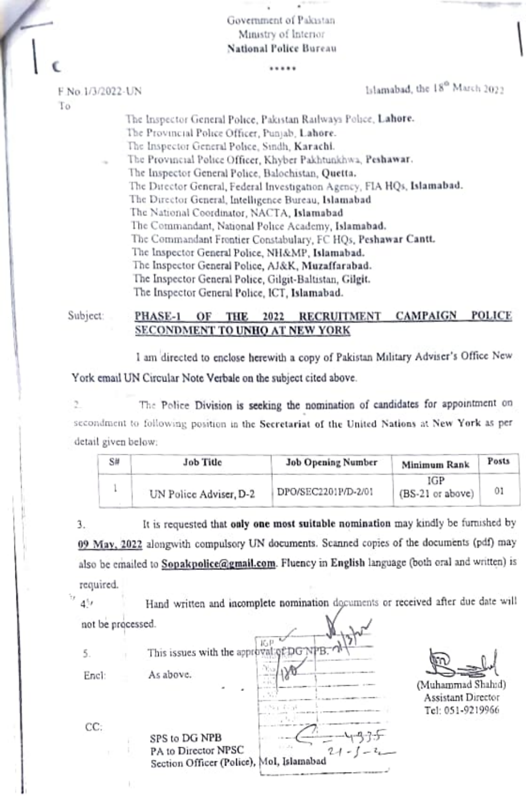Government of Pakistan Ministry of Interior **National Police Bureau** 

.....

F No.1/3/2022-UN Τo

Islamabad, the 18<sup>0</sup> March 2022

The Inspector General Police, Pakistan Railways Police, Lahore. The Provincial Police Officer, Punjab, Lahore. The Inspector General Police, Sindh, Karachi. The Provincial Police Officer, Khyber Pakhtunkhwa, Peshawar. The Inspector General Police, Balochistan, Quetta. The Director General, Federal Investigation Agency, FIA HQs, Islamabad. The Director General, Intelligence Bureau, Islamabad The National Coordinator, NACTA, Islamabad The Commandant, National Police Academy, Islamabad. The Commandant Frontier Constabulary, FC HQs, Peshawar Cantt. The Inspector General Police, NH&MP, Islamabad. The Inspector General Police, AJ&K, Muzaffarabad. The Inspector General Police, Gilgit-Baltistan, Gilgit. The Inspector General Police, ICT, Islamabad.

Subject:

#### **RECRUITMENT CAMPAIGN POLICE** PHASE-1 OF THE 2022 SECONDMENT TO UNHO AT NEW YORK

I am directed to enclose herewith a copy of Pakistan Military Adviser's Office New York email UN Circular Note Verbale on the subject cited above.

The Police Division is seeking the nomination of candidates for appointment on 2 secondment to following position in the Secretariat of the United Nations at New York as per detail given below:

| S# | <b>Job Title</b>       | <b>Job Opening Number</b> | Minimum Rank            | Posts |
|----|------------------------|---------------------------|-------------------------|-------|
|    | UN Police Adviser, D-2 | DPO/SEC2201P/D-2/01       | IGP<br>(BS-21 or above) | 01    |

It is requested that only one most suitable nomination may kindly be furnished by 3. 09 May, 2022 alongwith compulsory UN documents. Scanned copies of the documents (pdf) may also be emailed to Sopakpolice@gmail.com. Fluency in English language (both oral and written) is required.

Hand written and incomplete nomination documents or received after due date will  $4^{4}$ not be processed.

 $15-1$ This issues with the approv 5. As above. Encl: CC: SPS to DG NPB PA to Director NPSC Section Officer (Police), Mol, Islamabad

(Muhammad Shahid) Assistant Director Tel: 051-9219966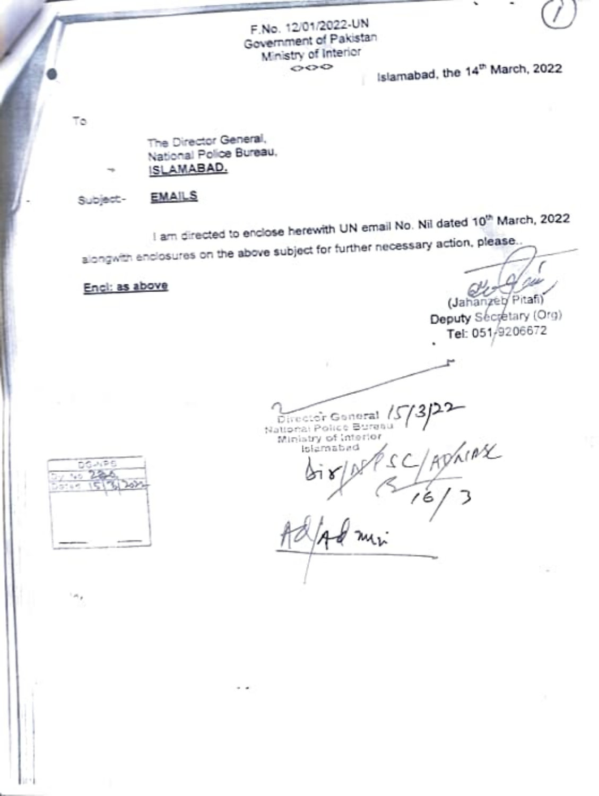F.No. 12/01/2022-UN Government of Pakistan Ministry of Interior  $\circ \circ \circ$ 

Islamabad, the 14<sup>th</sup> March, 2022

Tö.

The Director General, National Police Bureau, ISLAMABAD.

**EMAILS** Subject-

I am directed to enclose herewith UN email No. Nil dated 10<sup>th</sup> March, 2022

alongwith enclosures on the above subject for further necessary action, please.

Encl: as above

(Jahanzeb Pitafi)

Deputy Secretary (Org) Tel: 051/9206672 i.

Director General 15 ADVILLAR Ministry of Interior tslámabad



ر رام ا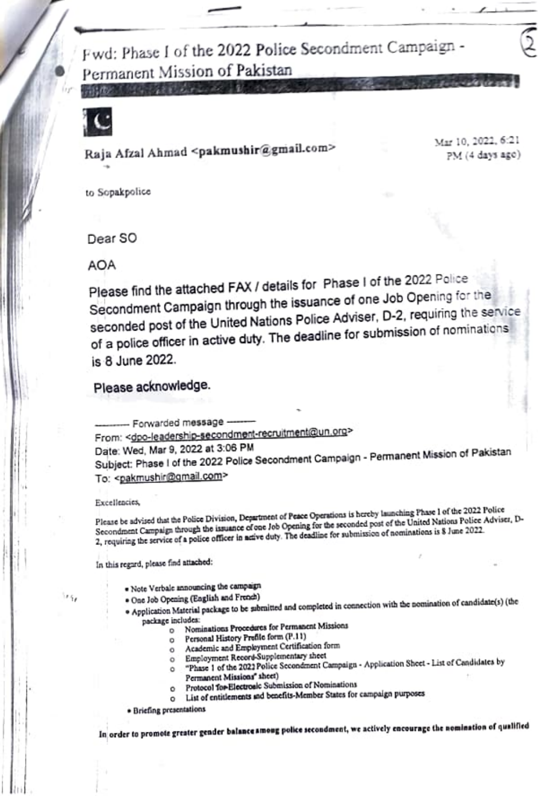Fwd: Phase I of the 2022 Police Secondment Campaign -Permanent Mission of Pakistan



Raja Afzal Ahmad <pakmushir@gmail.com>

Mar 10, 2022, 6:21 PM (4 days ago)

to Sopakpolice

Dear SO

AOA

Please find the attached FAX / details for Phase I of the 2022 Police Secondment Campaign through the issuance of one Job Opening for the seconded post of the United Nations Police Adviser, D-2, requiring the service of a police officer in active duty. The deadline for submission of nominations is 8 June 2022.

Please acknowledge.

- Forwarded message -From: < dpo-leadership-secondment-recruitment@un.org> Date: Wed, Mar 9, 2022 at 3:06 PM Subject: Phase I of the 2022 Police Secondment Campaign - Permanent Mission of Pakistan To: <pakmushir@gmail.com>

### Excellencies,

ing,

Please be advised that the Police Division, Department of Peace Operations is hereby launching Phase 1 of the 2022 Police Secondment Campaign through the issuance of one Job Opening for the seconded post of the United Nations Police Adviser, D-2, requiring the service of a police officer in active duty. The deadline for submission of nominations is \$ June 2022.

In this regard, please find attached:

- · Note Verbale announcing the campaign
- · One Job Opening (English and French)
- · Application Material package to be submitted and completed in connection with the nomination of candidate(s) (the package includes:
	- o Nominations Procedures for Permanent Missions
		- Personal History Prefile form (P.11) o.
		- Academic and Employment Certification form  $\circ$
		- o Employment Record-Supplementary sheet
		- "Phase 1 of the 2022 Police Secondment Campaign Application Sheet List of Candidates by  $\circ$
		- Permanent Missions" sheet)
		- Protocol for Electronic Submission of Nominations
		- List of entitlements and benefits-Member States for campaign purposes  $\circ$
	- · Briefing presentations

In order to promote greater gender balance among police secondment, we actively encourage the nomination of qualified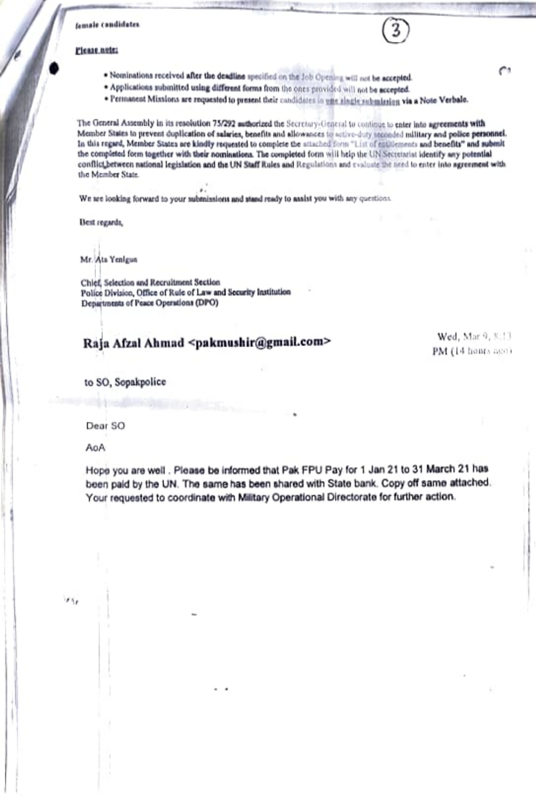### female candidates

### Please note:

- . Nominations received after the deadline specified on the Job Opening will not be accepted.
- \* Applications submitted using different forms from the ones provided will not be accepted.
- . Permanent Mixalons are requested to present their candidates in one single submission via a Note Verbale.

The General Assembly in its resolution 75/292 authorized the Secretary-General to continue to enter into agreements with Member States to prevent duplication of salaries, benefits and allowances to active-duty seconded military and police personnel. In this regard, Member States are kindly requested to complete the attached form "List of entitlements and benefits" and submit the completed form together with their nominations. The completed form will help the UNISectetarist identify any potential conflict between national legislation and the UN Staff Rules and Regulations and evaluate the need to enter into agreement with the Member State.

We are looking forward to your submissions and stand ready to asalst you with any questions.

Best regards,

Mr. Ats Yenigus

Chief, Selection and Recruitment Section Police Division, Office of Rule of Law and Security Institution Departments of Peace Operations (DPO)

## Raja Afzal Ahmad <pakmushir@gmail.com>

Wed, Mar 9, 8:11 PM (14 hours age)

to SO, Sopakpolice

Dear SO

AoA

ir iy

Hope you are well . Please be informed that Pak FPU Pay for 1 Jan 21 to 31 March 21 has been paid by the UN. The same has been shared with State bank. Copy off same attached. Your requested to coordinate with Military Operational Directorate for further action.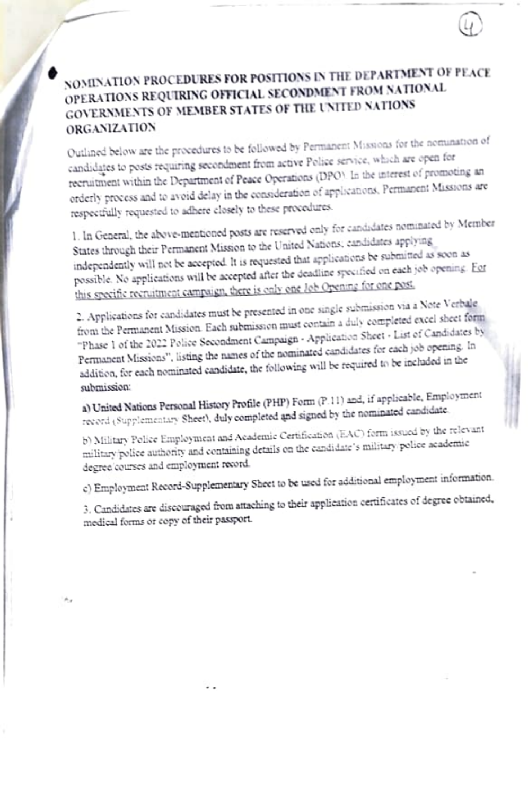## NOMINATION PROCEDURES FOR POSITIONS IN THE DEPARTMENT OF PEACE OPERATIONS REQUIRING OFFICIAL SECONDMENT FROM NATIONAL GOVERNMENTS OF MEMBER STATES OF THE UNITED NATIONS ORGANIZATION

Outlined below are the procedures to be followed by Permanent Missions for the nomination of candidates to posts requiring secondment from active Police service, which are open for recruitment within the Department of Peace Operations (DPO). In the interest of promoting an orderly process and to avoid delay in the consideration of applications. Permanent Missions are respectfully requested to adhere closely to these procedures.

1. In General, the above-mentioned posts are reserved only for candidates nominated by Member States through their Permanent Mission to the United Nations; candidates applying independently will not be accepted. It is requested that applications be submitted as soon as possible. No applications will be accepted after the deadline specified on each job opening. For this specific recruitment campaign, there is only one Job Opening for one post.

2. Applications for candidates must be presented in one single submission via a Note Verbale. from the Permanent Mission. Each submission must contain a duly completed excel sheet form "Phase 1 of the 2022 Police Secondment Campaign - Application Sheet - List of Candidates by Permanent Missions", listing the names of the nominated candidates for each job opening. In addition, for each nominated candidate, the following will be required to be included in the submission:

a) United Nations Personal History Profile (PHP) Form (P.11) and, if applicable, Employment record (Supplementary Sheet), duly completed and signed by the nominated candidate.

b) Military Police Employment and Academic Certification (EAC) form issued by the relevant military/police authority and containing details on the candidate's military/police academic degree courses and employment record.

c) Employment Record-Supplementary Sheet to be used for additional employment information.

3. Candidates are discouraged from attaching to their application certificates of degree obtained, medical forms or copy of their passport.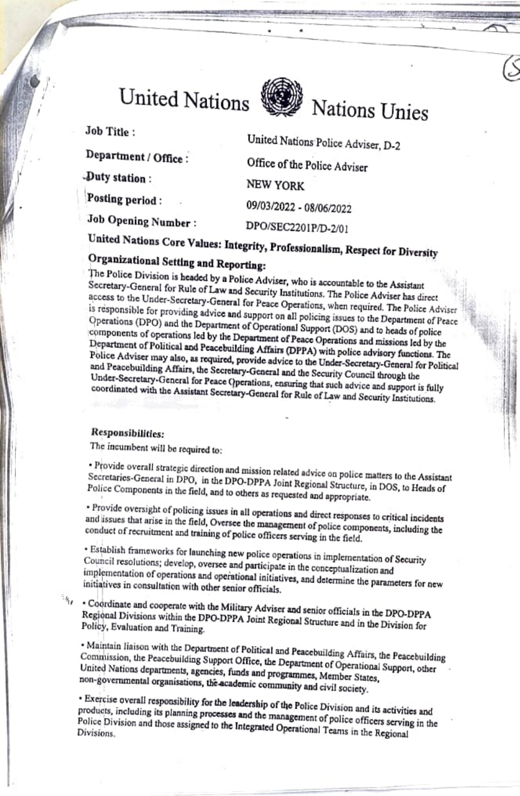# United Nations



Job Title:

Department / Office:

Duty station:

Posting period:

Job Opening Number:

United Nations Police Adviser, D-2 Office of the Police Adviser **NEW YORK** 09/03/2022 - 08/06/2022 DPO/SEC2201P/D-2/01

Nations Unies

# United Nations Core Values: Integrity, Professionalism, Respect for Diversity

## Organizational Setting and Reporting:

The Police Division is headed by a Police Adviser, who is accountable to the Assistant Secretary-General for Rule of Law and Security Institutions. The Police Adviser has direct access to the Under-Secretary-General for Peace Operations, when required. The Police Adviser is responsible for providing advice and support on all policing issues to the Department of Peace Operations (DPO) and the Department of Operational Support (DOS) and to heads of police components of operations led by the Department of Peace Operations and missions led by the Department of Political and Peacebuilding Affairs (DPPA) with police advisory functions. The Police Adviser may also, as required, provide advice to the Under-Secretary-General for Political and Peacebuilding Affairs, the Secretary-General and the Security Council through the Under-Secretary-General for Peace Operations, ensuring that such advice and support is fully coordinated with the Assistant Secretary-General for Rule of Law and Security Institutions.

### Responsibilities:

The incumbent will be required to:

· Provide overall strategic direction and mission related advice on police matters to the Assistant Secretaries-General in DPO, in the DPO-DPPA Joint Regional Structure, in DOS, to Heads of Police Components in the field, and to others as requested and appropriate.

· Provide oversight of policing issues in all operations and direct responses to critical incidents and issues that arise in the field, Oversee the management of police components, including the conduct of recruitment and training of police officers serving in the field.

· Establish frameworks for launching new police operations in implementation of Security Council resolutions; develop, oversee and participate in the conceptualization and implementation of operations and operational initiatives, and determine the parameters for new initiatives in consultation with other senior officials.

· Coordinate and cooperate with the Military Adviser and senior officials in the DPO-DPPA Regional Divisions within the DPO-DPPA Joint Regional Structure and in the Division for Policy, Evaluation and Training.

· Maintain liaison with the Department of Political and Peacebuilding Affairs, the Peacebuilding Commission, the Peacebuilding Support Office, the Department of Operational Support, other United Nations departments, agencies, funds and programmes, Member States, non-governmental organisations, the academic community and civil society.

· Exercise overall responsibility for the leadership of the Police Division and its activities and products, including its planning processes and the management of police officers serving in the Police Division and those assigned to the Integrated Operational Teams in the Regional Divisions.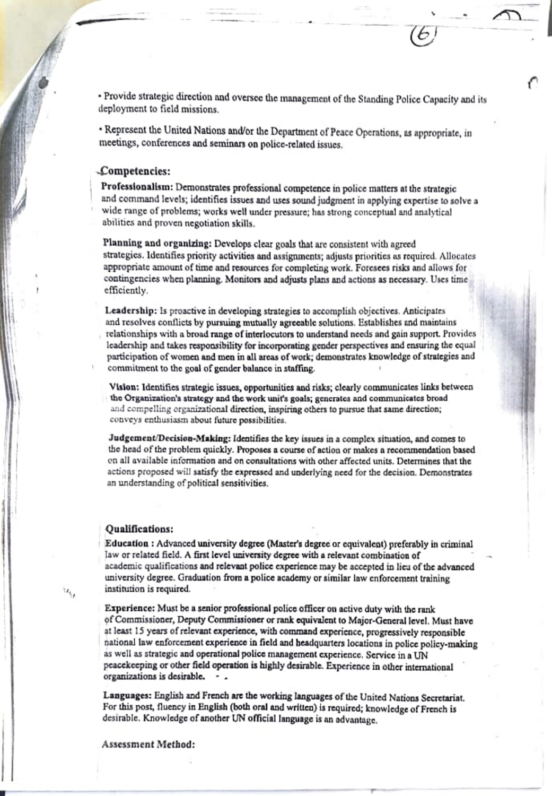· Provide strategic direction and oversee the management of the Standing Police Capacity and its deployment to field missions.

· Represent the United Nations and/or the Department of Peace Operations, as appropriate, in meetings, conferences and seminars on police-related issues.

### Competencies:

Professionalism: Demonstrates professional competence in police matters at the strategic and command levels; identifies issues and uses sound judgment in applying expertise to solve a wide range of problems; works well under pressure; has strong conceptual and analytical abilities and proven negotiation skills.

Planning and organizing: Develops clear goals that are consistent with agreed strategies. Identifies priority activities and assignments; adjusts priorities as required. Allocates appropriate amount of time and resources for completing work. Foresees risks and allows for contingencies when planning. Monitors and adjusts plans and actions as necessary. Uses time efficiently.

Leadership: Is proactive in developing strategies to accomplish objectives. Anticipates and resolves conflicts by pursuing mutually agreeable solutions. Establishes and maintains relationships with a broad range of interlocutors to understand needs and gain support. Provides leadership and takes responsibility for incorporating gender perspectives and ensuring the equal participation of women and men in all areas of work; demonstrates knowledge of strategies and commitment to the goal of gender balance in staffing.

Vision: Identifies strategic issues, opportunities and risks; clearly communicates links between the Organization's strategy and the work unit's goals; generates and communicates broad and compelling organizational direction, inspiring others to pursue that same direction; conveys enthusiasm about future possibilities.

Judgement/Decision-Making: Identifies the key issues in a complex situation, and comes to the head of the problem quickly. Proposes a course of action or makes a recommendation based on all available information and on consultations with other affected units. Determines that the actions proposed will satisfy the expressed and underlying need for the decision. Demonstrates an understanding of political sensitivities.

### Qualifications:

 $\alpha_{ij}$ 

Education : Advanced university degree (Master's degree or equivalent) preferably in criminal law or related field. A first level university degree with a relevant combination of academic qualifications and relevant police experience may be accepted in lieu of the advanced university degree. Graduation from a police academy or similar law enforcement training institution is required.

Experience: Must be a senior professional police officer on active duty with the rank of Commissioner, Deputy Commissioner or rank equivalent to Major-General level. Must have at least 15 years of relevant experience, with command experience, progressively responsible national law enforcement experience in field and headquarters locations in police policy-making as well as strategic and operational police management experience. Service in a UN peacekeeping or other field operation is highly desirable. Experience in other international organizations is desirable.

Languages: English and French are the working languages of the United Nations Secretariat. For this post, fluency in English (both oral and written) is required; knowledge of French is desirable. Knowledge of another UN official language is an advantage.

Assessment Method: